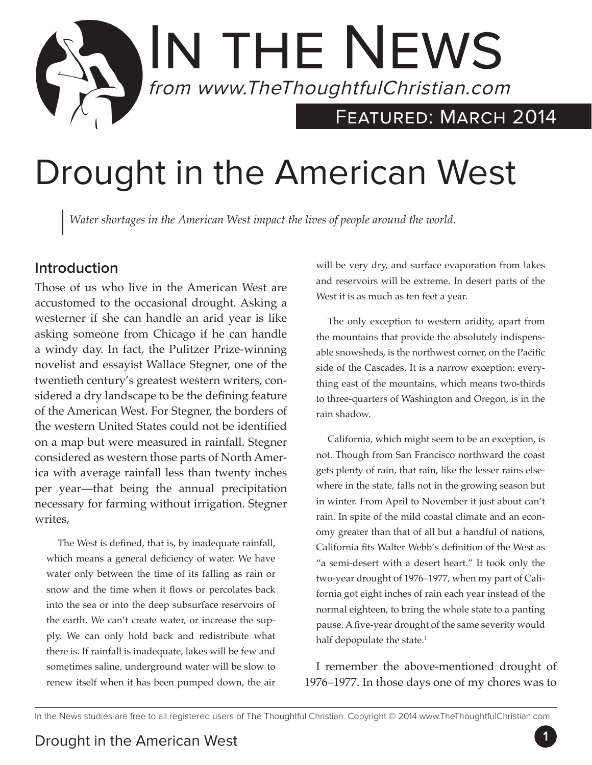

# Drought in the American West

*Water shortages in the American West impact the lives of people around the world.*

#### **Introduction**

Those of us who live in the American West are accustomed to the occasional drought. Asking a westerner if she can handle an arid year is like asking someone from Chicago if he can handle a windy day. In fact, the Pulitzer Prize-winning novelist and essayist Wallace Stegner, one of the twentieth century's greatest western writers, considered a dry landscape to be the defining feature of the American West. For Stegner, the borders of the western United States could not be identified on a map but were measured in rainfall. Stegner considered as western those parts of North America with average rainfall less than twenty inches per year—that being the annual precipitation necessary for farming without irrigation. Stegner writes,

The West is defined, that is, by inadequate rainfall, which means a general deficiency of water. We have water only between the time of its falling as rain or snow and the time when it flows or percolates back into the sea or into the deep subsurface reservoirs of the earth. We can't create water, or increase the supply. We can only hold back and redistribute what there is. If rainfall is inadequate, lakes will be few and sometimes saline, underground water will be slow to renew itself when it has been pumped down, the air will be very dry, and surface evaporation from lakes and reservoirs will be extreme. In desert parts of the West it is as much as ten feet a year.

The only exception to western aridity, apart from the mountains that provide the absolutely indispensable snowsheds, is the northwest corner, on the Pacific side of the Cascades. It is a narrow exception: everything east of the mountains, which means two-thirds to three-quarters of Washington and Oregon, is in the rain shadow.

California, which might seem to be an exception, is not. Though from San Francisco northward the coast gets plenty of rain, that rain, like the lesser rains elsewhere in the state, falls not in the growing season but in winter. From April to November it just about can't rain. In spite of the mild coastal climate and an economy greater than that of all but a handful of nations, California fits Walter Webb's definition of the West as "a semi-desert with a desert heart." It took only the two-year drought of 1976–1977, when my part of California got eight inches of rain each year instead of the normal eighteen, to bring the whole state to a panting pause. A five-year drought of the same severity would half depopulate the state.<sup>1</sup>

I remember the above-mentioned drought of 1976–1977. In those days one of my chores was to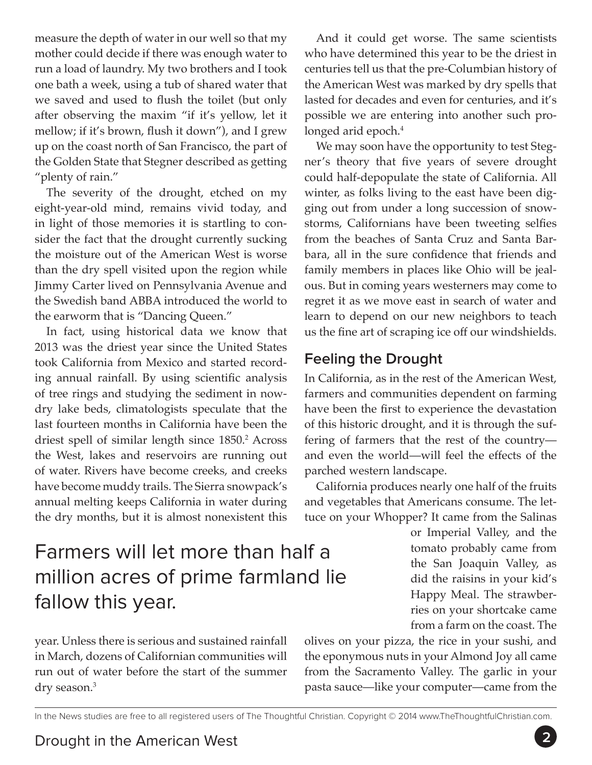measure the depth of water in our well so that my mother could decide if there was enough water to run a load of laundry. My two brothers and I took one bath a week, using a tub of shared water that we saved and used to flush the toilet (but only after observing the maxim "if it's yellow, let it mellow; if it's brown, flush it down"), and I grew up on the coast north of San Francisco, the part of the Golden State that Stegner described as getting "plenty of rain."

The severity of the drought, etched on my eight-year-old mind, remains vivid today, and in light of those memories it is startling to consider the fact that the drought currently sucking the moisture out of the American West is worse than the dry spell visited upon the region while Jimmy Carter lived on Pennsylvania Avenue and the Swedish band ABBA introduced the world to the earworm that is "Dancing Queen."

In fact, using historical data we know that 2013 was the driest year since the United States took California from Mexico and started recording annual rainfall. By using scientific analysis of tree rings and studying the sediment in nowdry lake beds, climatologists speculate that the last fourteen months in California have been the driest spell of similar length since 1850.2 Across the West, lakes and reservoirs are running out of water. Rivers have become creeks, and creeks have become muddy trails. The Sierra snowpack's annual melting keeps California in water during the dry months, but it is almost nonexistent this

And it could get worse. The same scientists who have determined this year to be the driest in centuries tell us that the pre-Columbian history of the American West was marked by dry spells that lasted for decades and even for centuries, and it's possible we are entering into another such prolonged arid epoch.<sup>4</sup>

We may soon have the opportunity to test Stegner's theory that five years of severe drought could half-depopulate the state of California. All winter, as folks living to the east have been digging out from under a long succession of snowstorms, Californians have been tweeting selfies from the beaches of Santa Cruz and Santa Barbara, all in the sure confidence that friends and family members in places like Ohio will be jealous. But in coming years westerners may come to regret it as we move east in search of water and learn to depend on our new neighbors to teach us the fine art of scraping ice off our windshields.

#### **Feeling the Drought**

In California, as in the rest of the American West, farmers and communities dependent on farming have been the first to experience the devastation of this historic drought, and it is through the suffering of farmers that the rest of the country and even the world—will feel the effects of the parched western landscape.

California produces nearly one half of the fruits and vegetables that Americans consume. The lettuce on your Whopper? It came from the Salinas

### Farmers will let more than half a million acres of prime farmland lie fallow this year.

year. Unless there is serious and sustained rainfall in March, dozens of Californian communities will run out of water before the start of the summer dry season.<sup>3</sup>

or Imperial Valley, and the tomato probably came from the San Joaquin Valley, as did the raisins in your kid's Happy Meal. The strawberries on your shortcake came from a farm on the coast. The

olives on your pizza, the rice in your sushi, and the eponymous nuts in your Almond Joy all came from the Sacramento Valley. The garlic in your pasta sauce—like your computer—came from the



In the News studies are free to all registered users of The Thoughtful Christian. Copyright © 2014 www.TheThoughtfulChristian.com.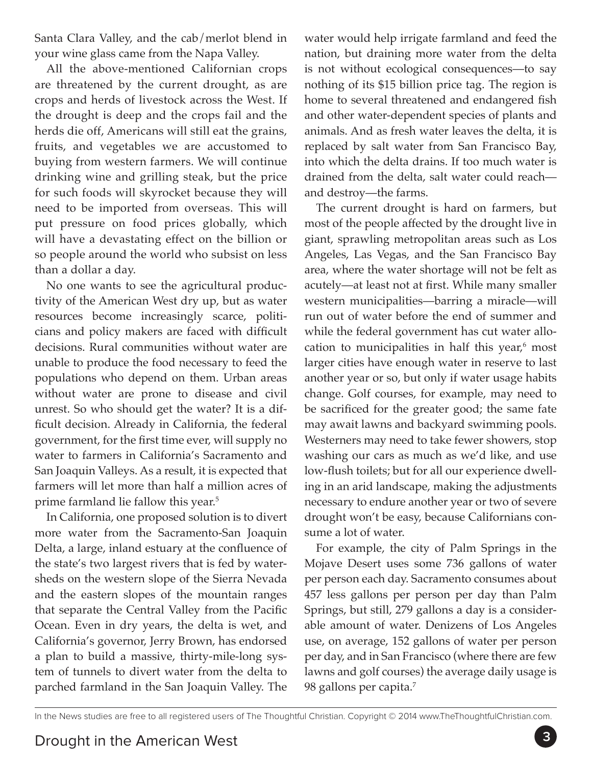Santa Clara Valley, and the cab/merlot blend in your wine glass came from the Napa Valley.

All the above-mentioned Californian crops are threatened by the current drought, as are crops and herds of livestock across the West. If the drought is deep and the crops fail and the herds die off, Americans will still eat the grains, fruits, and vegetables we are accustomed to buying from western farmers. We will continue drinking wine and grilling steak, but the price for such foods will skyrocket because they will need to be imported from overseas. This will put pressure on food prices globally, which will have a devastating effect on the billion or so people around the world who subsist on less than a dollar a day.

No one wants to see the agricultural productivity of the American West dry up, but as water resources become increasingly scarce, politicians and policy makers are faced with difficult decisions. Rural communities without water are unable to produce the food necessary to feed the populations who depend on them. Urban areas without water are prone to disease and civil unrest. So who should get the water? It is a difficult decision. Already in California, the federal government, for the first time ever, will supply no water to farmers in California's Sacramento and San Joaquin Valleys. As a result, it is expected that farmers will let more than half a million acres of prime farmland lie fallow this year.<sup>5</sup>

In California, one proposed solution is to divert more water from the Sacramento-San Joaquin Delta, a large, inland estuary at the confluence of the state's two largest rivers that is fed by watersheds on the western slope of the Sierra Nevada and the eastern slopes of the mountain ranges that separate the Central Valley from the Pacific Ocean. Even in dry years, the delta is wet, and California's governor, Jerry Brown, has endorsed a plan to build a massive, thirty-mile-long system of tunnels to divert water from the delta to parched farmland in the San Joaquin Valley. The

water would help irrigate farmland and feed the nation, but draining more water from the delta is not without ecological consequences—to say nothing of its \$15 billion price tag. The region is home to several threatened and endangered fish and other water-dependent species of plants and animals. And as fresh water leaves the delta, it is replaced by salt water from San Francisco Bay, into which the delta drains. If too much water is drained from the delta, salt water could reach and destroy—the farms.

The current drought is hard on farmers, but most of the people affected by the drought live in giant, sprawling metropolitan areas such as Los Angeles, Las Vegas, and the San Francisco Bay area, where the water shortage will not be felt as acutely—at least not at first. While many smaller western municipalities—barring a miracle—will run out of water before the end of summer and while the federal government has cut water allocation to municipalities in half this year,<sup>6</sup> most larger cities have enough water in reserve to last another year or so, but only if water usage habits change. Golf courses, for example, may need to be sacrificed for the greater good; the same fate may await lawns and backyard swimming pools. Westerners may need to take fewer showers, stop washing our cars as much as we'd like, and use low-flush toilets; but for all our experience dwelling in an arid landscape, making the adjustments necessary to endure another year or two of severe drought won't be easy, because Californians consume a lot of water.

For example, the city of Palm Springs in the Mojave Desert uses some 736 gallons of water per person each day. Sacramento consumes about 457 less gallons per person per day than Palm Springs, but still, 279 gallons a day is a considerable amount of water. Denizens of Los Angeles use, on average, 152 gallons of water per person per day, and in San Francisco (where there are few lawns and golf courses) the average daily usage is 98 gallons per capita.<sup>7</sup>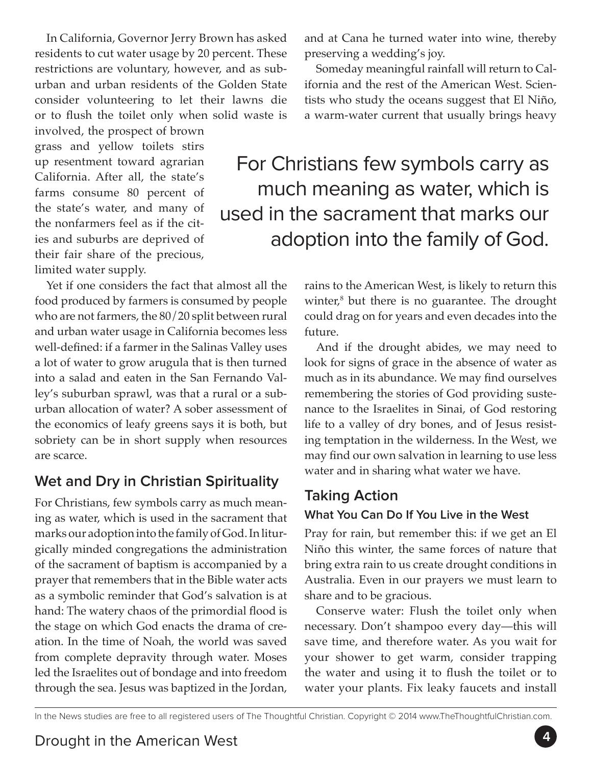In California, Governor Jerry Brown has asked residents to cut water usage by 20 percent. These restrictions are voluntary, however, and as suburban and urban residents of the Golden State consider volunteering to let their lawns die or to flush the toilet only when solid waste is

involved, the prospect of brown grass and yellow toilets stirs up resentment toward agrarian California. After all, the state's farms consume 80 percent of the state's water, and many of the nonfarmers feel as if the cities and suburbs are deprived of their fair share of the precious, limited water supply.

Yet if one considers the fact that almost all the food produced by farmers is consumed by people who are not farmers, the 80/20 split between rural and urban water usage in California becomes less well-defined: if a farmer in the Salinas Valley uses a lot of water to grow arugula that is then turned into a salad and eaten in the San Fernando Valley's suburban sprawl, was that a rural or a suburban allocation of water? A sober assessment of the economics of leafy greens says it is both, but sobriety can be in short supply when resources are scarce.

#### **Wet and Dry in Christian Spirituality**

For Christians, few symbols carry as much meaning as water, which is used in the sacrament that marks our adoption into the family of God. In liturgically minded congregations the administration of the sacrament of baptism is accompanied by a prayer that remembers that in the Bible water acts as a symbolic reminder that God's salvation is at hand: The watery chaos of the primordial flood is the stage on which God enacts the drama of creation. In the time of Noah, the world was saved from complete depravity through water. Moses led the Israelites out of bondage and into freedom through the sea. Jesus was baptized in the Jordan,

and at Cana he turned water into wine, thereby preserving a wedding's joy.

Someday meaningful rainfall will return to California and the rest of the American West. Scientists who study the oceans suggest that El Niño, a warm-water current that usually brings heavy

For Christians few symbols carry as much meaning as water, which is used in the sacrament that marks our adoption into the family of God.

> rains to the American West, is likely to return this winter,8 but there is no guarantee. The drought could drag on for years and even decades into the future.

> And if the drought abides, we may need to look for signs of grace in the absence of water as much as in its abundance. We may find ourselves remembering the stories of God providing sustenance to the Israelites in Sinai, of God restoring life to a valley of dry bones, and of Jesus resisting temptation in the wilderness. In the West, we may find our own salvation in learning to use less water and in sharing what water we have.

#### **Taking Action**

#### **What You Can Do If You Live in the West**

Pray for rain, but remember this: if we get an El Niño this winter, the same forces of nature that bring extra rain to us create drought conditions in Australia. Even in our prayers we must learn to share and to be gracious.

Conserve water: Flush the toilet only when necessary. Don't shampoo every day—this will save time, and therefore water. As you wait for your shower to get warm, consider trapping the water and using it to flush the toilet or to water your plants. Fix leaky faucets and install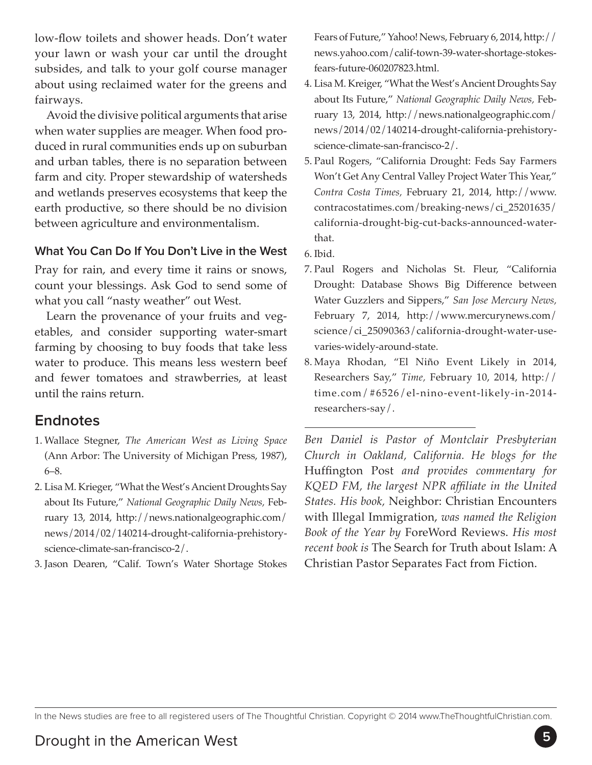low-flow toilets and shower heads. Don't water your lawn or wash your car until the drought subsides, and talk to your golf course manager about using reclaimed water for the greens and fairways.

Avoid the divisive political arguments that arise when water supplies are meager. When food produced in rural communities ends up on suburban and urban tables, there is no separation between farm and city. Proper stewardship of watersheds and wetlands preserves ecosystems that keep the earth productive, so there should be no division between agriculture and environmentalism.

#### **What You Can Do If You Don't Live in the West**

Pray for rain, and every time it rains or snows, count your blessings. Ask God to send some of what you call "nasty weather" out West.

Learn the provenance of your fruits and vegetables, and consider supporting water-smart farming by choosing to buy foods that take less water to produce. This means less western beef and fewer tomatoes and strawberries, at least until the rains return.

#### **Endnotes**

- 1. Wallace Stegner, *The American West as Living Space* (Ann Arbor: The University of Michigan Press, 1987), 6–8.
- 2. Lisa M. Krieger, "What the West's Ancient Droughts Say about Its Future," *National Geographic Daily News,* February 13, 2014, http://news.nationalgeographic.com/ news/2014/02/140214-drought-california-prehistoryscience-climate-san-francisco-2/.
- 3. Jason Dearen, "Calif. Town's Water Shortage Stokes

Fears of Future," Yahoo! News, February 6, 2014, http:// news.yahoo.com/calif-town-39-water-shortage-stokesfears-future-060207823.html.

- 4. Lisa M. Kreiger, "What the West's Ancient Droughts Say about Its Future," *National Geographic Daily News,* February 13, 2014, http://news.nationalgeographic.com/ news/2014/02/140214-drought-california-prehistoryscience-climate-san-francisco-2/.
- 5. Paul Rogers, "California Drought: Feds Say Farmers Won't Get Any Central Valley Project Water This Year," *Contra Costa Times,* February 21, 2014, http://www. contracostatimes.com/breaking-news/ci\_25201635/ california-drought-big-cut-backs-announced-waterthat.
- 6. Ibid.
- 7. Paul Rogers and Nicholas St. Fleur, "California Drought: Database Shows Big Difference between Water Guzzlers and Sippers," *San Jose Mercury News,*  February 7, 2014, http://www.mercurynews.com/ science/ci\_25090363/california-drought-water-usevaries-widely-around-state.
- 8. Maya Rhodan, "El Niño Event Likely in 2014, Researchers Say," *Time,* February 10, 2014, http:// time.com/#6526/el-nino-event-likely-in-2014 researchers-say/.

*Ben Daniel is Pastor of Montclair Presbyterian Church in Oakland, California. He blogs for the*  Huffington Post *and provides commentary for KQED FM, the largest NPR affiliate in the United States. His book,* Neighbor: Christian Encounters with Illegal Immigration, *was named the Religion Book of the Year by* ForeWord Reviews. *His most recent book is* The Search for Truth about Islam: A Christian Pastor Separates Fact from Fiction.